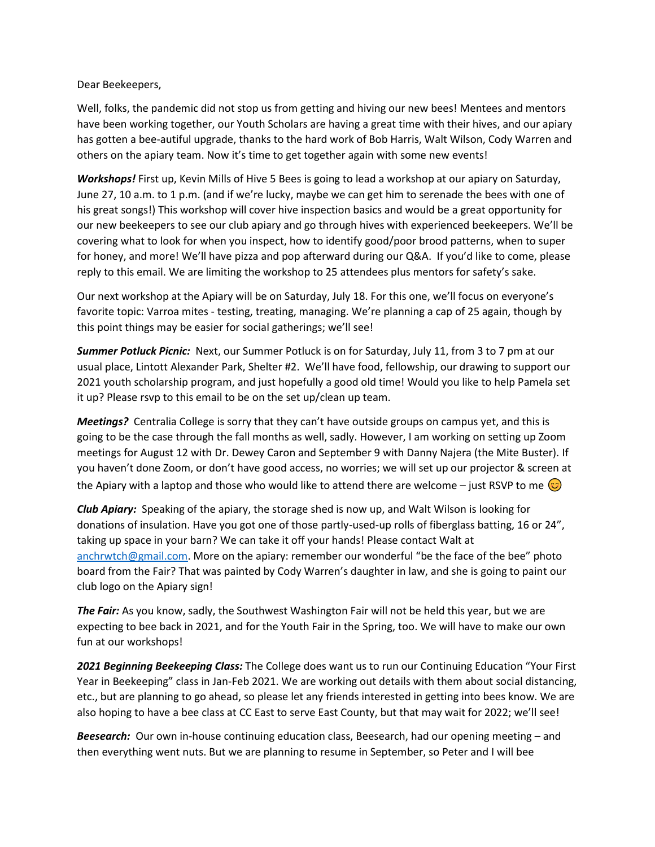Dear Beekeepers,

Well, folks, the pandemic did not stop us from getting and hiving our new bees! Mentees and mentors have been working together, our Youth Scholars are having a great time with their hives, and our apiary has gotten a bee-autiful upgrade, thanks to the hard work of Bob Harris, Walt Wilson, Cody Warren and others on the apiary team. Now it's time to get together again with some new events!

*Workshops!* First up, Kevin Mills of Hive 5 Bees is going to lead a workshop at our apiary on Saturday, June 27, 10 a.m. to 1 p.m. (and if we're lucky, maybe we can get him to serenade the bees with one of his great songs!) This workshop will cover hive inspection basics and would be a great opportunity for our new beekeepers to see our club apiary and go through hives with experienced beekeepers. We'll be covering what to look for when you inspect, how to identify good/poor brood patterns, when to super for honey, and more! We'll have pizza and pop afterward during our Q&A. If you'd like to come, please reply to this email. We are limiting the workshop to 25 attendees plus mentors for safety's sake.

Our next workshop at the Apiary will be on Saturday, July 18. For this one, we'll focus on everyone's favorite topic: Varroa mites - testing, treating, managing. We're planning a cap of 25 again, though by this point things may be easier for social gatherings; we'll see!

*Summer Potluck Picnic:* Next, our Summer Potluck is on for Saturday, July 11, from 3 to 7 pm at our usual place, Lintott Alexander Park, Shelter #2. We'll have food, fellowship, our drawing to support our 2021 youth scholarship program, and just hopefully a good old time! Would you like to help Pamela set it up? Please rsvp to this email to be on the set up/clean up team.

*Meetings?* Centralia College is sorry that they can't have outside groups on campus yet, and this is going to be the case through the fall months as well, sadly. However, I am working on setting up Zoom meetings for August 12 with Dr. Dewey Caron and September 9 with Danny Najera (the Mite Buster). If you haven't done Zoom, or don't have good access, no worries; we will set up our projector & screen at the Apiary with a laptop and those who would like to attend there are welcome – just RSVP to me  $\circled{c}$ 

*Club Apiary:* Speaking of the apiary, the storage shed is now up, and Walt Wilson is looking for donations of insulation. Have you got one of those partly-used-up rolls of fiberglass batting, 16 or 24", taking up space in your barn? We can take it off your hands! Please contact Walt at [anchrwtch@gmail.com](mailto:anchrwtch@gmail.com). More on the apiary: remember our wonderful "be the face of the bee" photo board from the Fair? That was painted by Cody Warren's daughter in law, and she is going to paint our club logo on the Apiary sign!

*The Fair:* As you know, sadly, the Southwest Washington Fair will not be held this year, but we are expecting to bee back in 2021, and for the Youth Fair in the Spring, too. We will have to make our own fun at our workshops!

*2021 Beginning Beekeeping Class:* The College does want us to run our Continuing Education "Your First Year in Beekeeping" class in Jan-Feb 2021. We are working out details with them about social distancing, etc., but are planning to go ahead, so please let any friends interested in getting into bees know. We are also hoping to have a bee class at CC East to serve East County, but that may wait for 2022; we'll see!

*Beesearch:* Our own in-house continuing education class, Beesearch, had our opening meeting – and then everything went nuts. But we are planning to resume in September, so Peter and I will bee